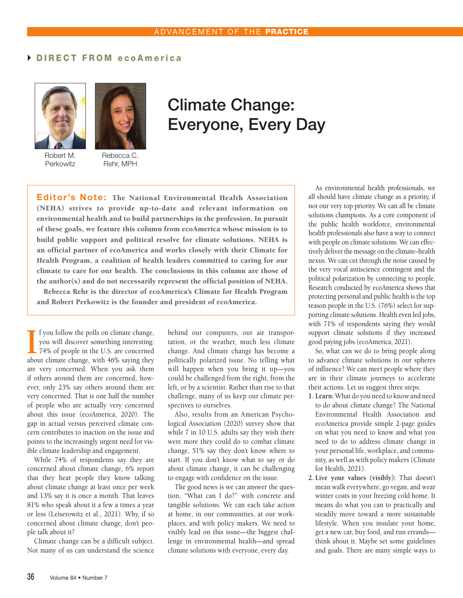## DIRECT FROM ecoAmerica





Robert M. **Perkowitz** 

Rebecca C. Rehr, MPH

## Climate Change: Everyone, Every Day

Editor's Note: The National Environmental Health Association (NEHA) strives to provide up-to-date and relevant information on environmental health and to build partnerships in the profession. In pursuit of these goals, we feature this column from ecoAmerica whose mission is to build public support and political resolve for climate solutions. NEHA is an official partner of ecoAmerica and works closely with their Climate for Health Program, a coalition of health leaders committed to caring for our climate to care for our health. The conclusions in this column are those of the author(s) and do not necessarily represent the official position of NEHA. Rebecca Rehr is the director of ecoAmerica's Climate for Health Program

and Robert Perkowitz is the founder and president of ecoAmerica.

**I** f you follow the polls on climate change, you will discover something interesting: 74% of people in the U.S. are concerned about climate change, with 46% saying they f you follow the polls on climate change, you will discover something interesting: 74% of people in the U.S. are concerned are very concerned. When you ask them if others around them are concerned, however, only 23% say others around them are very concerned. That is one half the number of people who are actually very concerned about this issue (ecoAmerica, 2020). The gap in actual versus perceived climate concern contributes to inaction on the issue and points to the increasingly urgent need for visible climate leadership and engagement.

While 74% of respondents say they are concerned about climate change, 6% report that they hear people they know talking about climate change at least once per week and 13% say it is once a month. That leaves 81% who speak about it a few a times a year or less (Leiserowitz et al., 2021). Why, if so concerned about climate change, don't people talk about it?

Climate change can be a difficult subject. Not many of us can understand the science

behind our computers, our air transportation, or the weather, much less climate change. And climate change has become a politically polarized issue. No telling what will happen when you bring it up—you could be challenged from the right, from the left, or by a scientist. Rather than rise to that challenge, many of us keep our climate perspectives to ourselves.

Also, results from an American Psychological Association (2020) survey show that while 7 in 10 U.S. adults say they wish there were more they could do to combat climate change, 51% say they don't know where to start. If you don't know what to say or do about climate change, it can be challenging to engage with confidence on the issue.

The good news is we can answer the question, "What can I do?" with concrete and tangible solutions. We can each take action at home, in our communities, at our workplaces, and with policy makers. We need to visibly lead on this issue—the biggest challenge in environmental health—and spread climate solutions with everyone, every day.

As environmental health professionals, we all should have climate change as a priority, if not our very top priority. We can all be climate solutions champions. As a core component of the public health workforce, environmental health professionals also have a way to connect with people on climate solutions. We can effectively deliver the message on the climate–health nexus. We can cut through the noise caused by the very vocal antiscience contingent and the political polarization by connecting to people. Research conducted by ecoAmerica shows that protecting personal and public health is the top reason people in the U.S. (76%) select for supporting climate solutions. Health even led jobs, with 71% of respondents saying they would support climate solutions if they increased good paying jobs (ecoAmerica, 2021).

So, what can we do to bring people along to advance climate solutions in our spheres of influence? We can meet people where they are in their climate journeys to accelerate their actions. Let us suggest three steps:

- **1. Learn:** What do you need to know and need to do about climate change? The National Environmental Health Association and ecoAmerica provide simple 2-page guides on what you need to know and what you need to do to address climate change in your personal life, workplace, and community, as well as with policy makers (Climate for Health, 2021).
- **2. Live your values (visibly):** That doesn't mean walk everywhere, go vegan, and wear winter coats in your freezing cold home. It means do what you can to practically and steadily move toward a more sustainable lifestyle. When you insulate your home, get a new car, buy food, and run errands think about it. Maybe set some guidelines and goals. There are many simple ways to